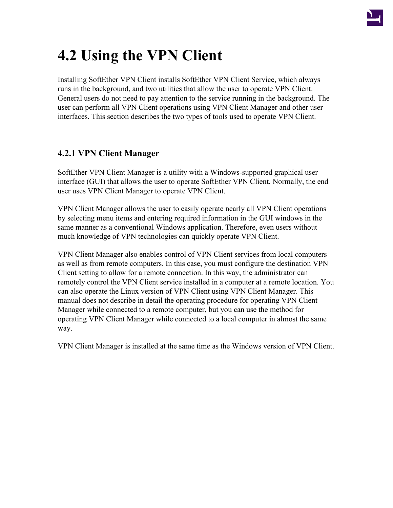

# **4.2 Using the VPN Client**

Installing SoftEther VPN Client installs SoftEther VPN Client Service, which always runs in the background, and two utilities that allow the user to operate VPN Client. General users do not need to pay attention to the service running in the background. The user can perform all VPN Client operations using VPN Client Manager and other user interfaces. This section describes the two types of tools used to operate VPN Client.

# **4.2.1 VPN Client Manager**

SoftEther VPN Client Manager is a utility with a Windows-supported graphical user interface (GUI) that allows the user to operate SoftEther VPN Client. Normally, the end user uses VPN Client Manager to operate VPN Client.

VPN Client Manager allows the user to easily operate nearly all VPN Client operations by selecting menu items and entering required information in the GUI windows in the same manner as a conventional Windows application. Therefore, even users without much knowledge of VPN technologies can quickly operate VPN Client.

VPN Client Manager also enables control of VPN Client services from local computers as well as from remote computers. In this case, you must configure the destination VPN Client setting to allow for a remote connection. In this way, the administrator can remotely control the VPN Client service installed in a computer at a remote location. You can also operate the Linux version of VPN Client using VPN Client Manager. This manual does not describe in detail the operating procedure for operating VPN Client Manager while connected to a remote computer, but you can use the method for operating VPN Client Manager while connected to a local computer in almost the same way.

VPN Client Manager is installed at the same time as the Windows version of VPN Client.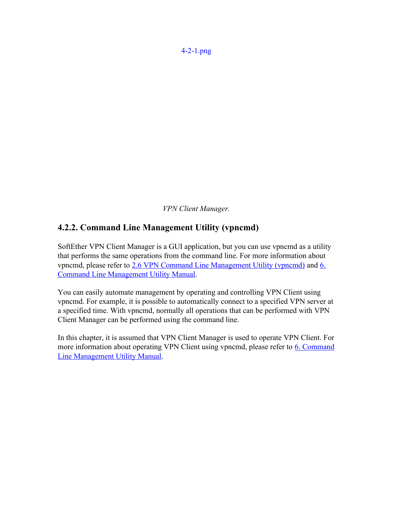*VPN Client Manager.*

## **4.2.2. Command Line Management Utility (vpncmd)**

SoftEther VPN Client Manager is a GUI application, but you can use vpncmd as a utility that performs the same operations from the command line. For more information about vpncmd, please refer to [2.6 VPN Command Line Management Utility \(vpncmd\)](http://www.softether.org/4-docs/1-manual/2._SoftEther_VPN_Essential_Architecture/2.6_VPN_Command_Line_Management_Utility_(vpncmd)) and [6.](http://www.softether.org/4-docs/1-manual/6._Command_Line_Management_Utility_Manual) [Command Line Management Utility Manual.](http://www.softether.org/4-docs/1-manual/6._Command_Line_Management_Utility_Manual)

You can easily automate management by operating and controlling VPN Client using vpncmd. For example, it is possible to automatically connect to a specified VPN server at a specified time. With vpncmd, normally all operations that can be performed with VPN Client Manager can be performed using the command line.

In this chapter, it is assumed that VPN Client Manager is used to operate VPN Client. For more information about operating VPN Client using vpncmd, please refer to [6. Command](http://www.softether.org/4-docs/1-manual/6._Command_Line_Management_Utility_Manual) [Line Management Utility Manual.](http://www.softether.org/4-docs/1-manual/6._Command_Line_Management_Utility_Manual)

[4-2-1.png](http://www.softether.org/@api/deki/files/238/=4-2-1.png)